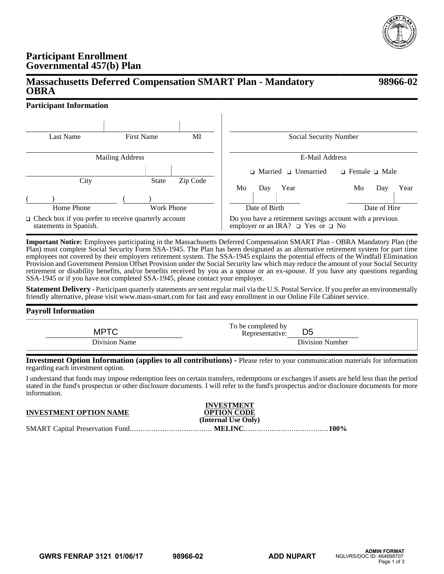

**98966-02**

## **Participant Enrollment Governmental 457(b) Plan**

# **Massachusetts Deferred Compensation SMART Plan - Mandatory OBRA**

## **Participant Information**

| Last Name                                                                             | <b>First Name</b> | MI       | Social Security Number                                                                                  |                           |  |
|---------------------------------------------------------------------------------------|-------------------|----------|---------------------------------------------------------------------------------------------------------|---------------------------|--|
| <b>Mailing Address</b>                                                                |                   |          | E-Mail Address                                                                                          |                           |  |
|                                                                                       |                   |          | $\Box$ Married $\Box$ Unmarried                                                                         | $\Box$ Female $\Box$ Male |  |
| City                                                                                  | <b>State</b>      | Zip Code | Mo<br>Year<br>Day                                                                                       | Year<br>Mo<br>Day         |  |
| Home Phone                                                                            | Work Phone        |          | Date of Birth                                                                                           | Date of Hire              |  |
| $\Box$ Check box if you prefer to receive quarterly account<br>statements in Spanish. |                   |          | Do you have a retirement savings account with a previous<br>employer or an IRA? $\Box$ Yes or $\Box$ No |                           |  |

**Important Notice:** Employees participating in the Massachusetts Deferred Compensation SMART Plan - OBRA Mandatory Plan (the Plan) must complete Social Security Form SSA-1945. The Plan has been designated as an alternative retirement system for part time employees not covered by their employers retirement system. The SSA-1945 explains the potential effects of the Windfall Elimination Provision and Government Pension Offset Provision under the Social Security law which may reduce the amount of your Social Security retirement or disability benefits, and/or benefits received by you as a spouse or an ex-spouse. If you have any questions regarding SSA-1945 or if you have not completed SSA-1945, please contact your employer.

**Statement Delivery -** Participant quarterly statements are sent regular mail via the U.S. Postal Service. If you prefer an environmentally friendly alternative, please visit www.mass-smart.com for fast and easy enrollment in our Online File Cabinet service.

### **Payroll Information**

| <b>MPTC</b>   | To be completed by<br>Representative: | D <sub>5</sub>  |
|---------------|---------------------------------------|-----------------|
| Division Name |                                       | Division Number |

**Investment Option Information (applies to all contributions) -** Please refer to your communication materials for information regarding each investment option.

I understand that funds may impose redemption fees on certain transfers, redemptions or exchanges if assets are held less than the period stated in the fund's prospectus or other disclosure documents. I will refer to the fund's prospectus and/or disclosure documents for more information.

| <b>INVESTMENT OPTION NAME</b> | <b>INVESTMENT</b><br><b>OPTION CODE</b><br>(Internal Use Only) |  |
|-------------------------------|----------------------------------------------------------------|--|
|                               |                                                                |  |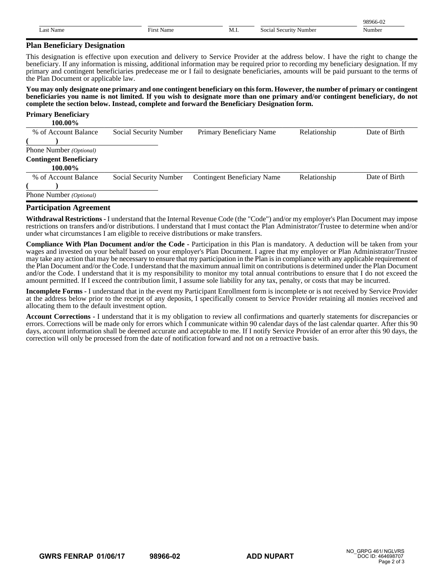|                |                           |      |                                    | 98966-02 |
|----------------|---------------------------|------|------------------------------------|----------|
| . .ast<br>Name | $- \cdot$<br>Name<br>Firs | M.I. | social<br>Security<br>Number<br>эc | vumbei   |

#### **Plan Beneficiary Designation**

This designation is effective upon execution and delivery to Service Provider at the address below. I have the right to change the beneficiary. If any information is missing, additional information may be required prior to recording my beneficiary designation. If my primary and contingent beneficiaries predecease me or I fail to designate beneficiaries, amounts will be paid pursuant to the terms of the Plan Document or applicable law.

**You may only designate one primary and one contingent beneficiary on this form. However, the number of primary or contingent beneficiaries you name is not limited. If you wish to designate more than one primary and/or contingent beneficiary, do not complete the section below. Instead, complete and forward the Beneficiary Designation form.**

| <b>Primary Beneficiary</b>    |                        |                                    |              |               |
|-------------------------------|------------------------|------------------------------------|--------------|---------------|
| 100.00%                       |                        |                                    |              |               |
| % of Account Balance          | Social Security Number | Primary Beneficiary Name           | Relationship | Date of Birth |
|                               |                        |                                    |              |               |
| Phone Number (Optional)       |                        |                                    |              |               |
| <b>Contingent Beneficiary</b> |                        |                                    |              |               |
| 100.00%                       |                        |                                    |              |               |
| % of Account Balance          | Social Security Number | <b>Contingent Beneficiary Name</b> | Relationship | Date of Birth |
|                               |                        |                                    |              |               |
| Phone Number (Optional)       |                        |                                    |              |               |

#### **Participation Agreement**

**Withdrawal Restrictions -** I understand that the Internal Revenue Code (the "Code") and/or my employer's Plan Document may impose restrictions on transfers and/or distributions. I understand that I must contact the Plan Administrator/Trustee to determine when and/or under what circumstances I am eligible to receive distributions or make transfers.

**Compliance With Plan Document and/or the Code -** Participation in this Plan is mandatory. A deduction will be taken from your wages and invested on your behalf based on your employer's Plan Document. I agree that my employer or Plan Administrator/Trustee may take any action that may be necessary to ensure that my participation in the Plan is in compliance with any applicable requirement of the Plan Document and/or the Code. I understand that the maximum annual limit on contributions is determined under the Plan Document and/or the Code. I understand that it is my responsibility to monitor my total annual contributions to ensure that I do not exceed the amount permitted. If I exceed the contribution limit, I assume sole liability for any tax, penalty, or costs that may be incurred.

**Incomplete Forms -** I understand that in the event my Participant Enrollment form is incomplete or is not received by Service Provider at the address below prior to the receipt of any deposits, I specifically consent to Service Provider retaining all monies received and allocating them to the default investment option.

**Account Corrections -** I understand that it is my obligation to review all confirmations and quarterly statements for discrepancies or errors. Corrections will be made only for errors which I communicate within 90 calendar days of the last calendar quarter. After this 90 days, account information shall be deemed accurate and acceptable to me. If I notify Service Provider of an error after this 90 days, the correction will only be processed from the date of notification forward and not on a retroactive basis.